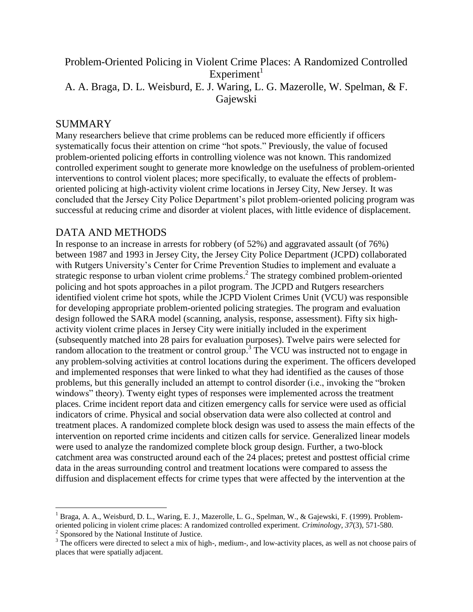## Problem-Oriented Policing in Violent Crime Places: A Randomized Controlled  $Experiment<sup>1</sup>$ A. A. Braga, D. L. Weisburd, E. J. Waring, L. G. Mazerolle, W. Spelman, & F. Gajewski

## SUMMARY

 $\overline{a}$ 

Many researchers believe that crime problems can be reduced more efficiently if officers systematically focus their attention on crime "hot spots." Previously, the value of focused problem-oriented policing efforts in controlling violence was not known. This randomized controlled experiment sought to generate more knowledge on the usefulness of problem-oriented interventions to control violent places; more specifically, to evaluate the effects of problemoriented policing at high-activity violent crime locations in Jersey City, New Jersey. It was concluded that the Jersey City Police Department's pilot problem-oriented policing program was successful at reducing crime and disorder at violent places, with little evidence of displacement.

## DATA AND METHODS

In response to an increase in arrests for robbery (of 52%) and aggravated assault (of 76%) between 1987 and 1993 in Jersey City, the Jersey City Police Department (JCPD) collaborated with Rutgers University's Center for Crime Prevention Studies to implement and evaluate a strategic response to urban violent crime problems.<sup>2</sup> The strategy combined problem-oriented policing and hot spots approaches in a pilot program. The JCPD and Rutgers researchers identified violent crime hot spots, while the JCPD Violent Crimes Unit (VCU) was responsible for developing appropriate problem-oriented policing strategies. The program and evaluation design followed the SARA model (scanning, analysis, response, assessment). Fifty six highactivity violent crime places in Jersey City were initially included in the experiment (subsequently matched into 28 pairs for evaluation purposes). Twelve pairs were selected for random allocation to the treatment or control group.<sup>3</sup> The VCU was instructed not to engage in any problem-solving activities at control locations during the experiment. The officers developed and implemented responses that were linked to what they had identified as the causes of those problems, but this generally included an attempt to control disorder (i.e., invoking the "broken windows" theory). Twenty eight types of responses were implemented across the treatment places. Crime incident report data and citizen emergency calls for service were used as official indicators of crime. Physical and social observation data were also collected at control and treatment places. A randomized complete block design was used to assess the main effects of the intervention on reported crime incidents and citizen calls for service. Generalized linear models were used to analyze the randomized complete block group design. Further, a two-block catchment area was constructed around each of the 24 places; pretest and posttest official crime data in the areas surrounding control and treatment locations were compared to assess the diffusion and displacement effects for crime types that were affected by the intervention at the

<sup>&</sup>lt;sup>1</sup> Braga, A. A., Weisburd, D. L., Waring, E. J., Mazerolle, L. G., Spelman, W., & Gajewski, F. (1999). Problemoriented policing in violent crime places: A randomized controlled experiment. *Criminology, 37*(3)*,* 571-580. <sup>2</sup> Sponsored by the National Institute of Justice.

<sup>&</sup>lt;sup>3</sup> The officers were directed to select a mix of high-, medium-, and low-activity places, as well as not choose pairs of places that were spatially adjacent.